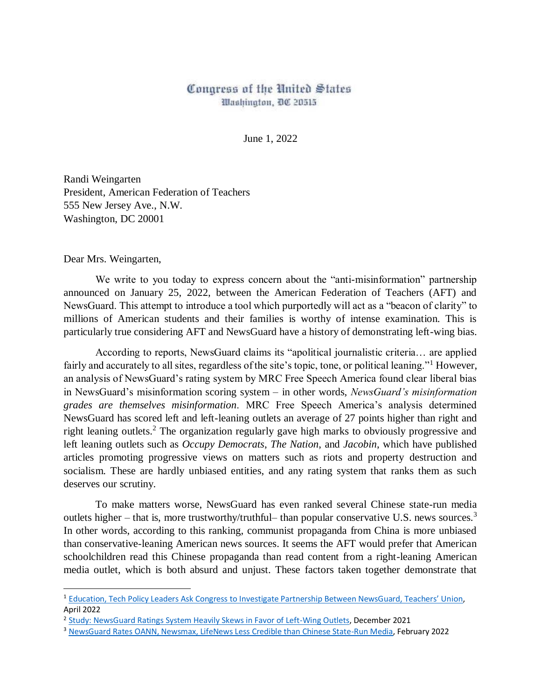## Congress of the United States Washington, DC 20515

June 1, 2022

Randi Weingarten President, American Federation of Teachers 555 New Jersey Ave., N.W. Washington, DC 20001

Dear Mrs. Weingarten,

 $\overline{a}$ 

We write to you today to express concern about the "anti-misinformation" partnership announced on January 25, 2022, between the American Federation of Teachers (AFT) and NewsGuard. This attempt to introduce a tool which purportedly will act as a "beacon of clarity" to millions of American students and their families is worthy of intense examination. This is particularly true considering AFT and NewsGuard have a history of demonstrating left-wing bias.

According to reports, NewsGuard claims its "apolitical journalistic criteria… are applied fairly and accurately to all sites, regardless of the site's topic, tone, or political leaning."<sup>1</sup> However, an analysis of NewsGuard's rating system by MRC Free Speech America found clear liberal bias in NewsGuard's misinformation scoring system – in other words, *NewsGuard's misinformation grades are themselves misinformation*. MRC Free Speech America's analysis determined NewsGuard has scored left and left-leaning outlets an average of 27 points higher than right and right leaning outlets.<sup>2</sup> The organization regularly gave high marks to obviously progressive and left leaning outlets such as *Occupy Democrats*, *The Nation*, and *Jacobin*, which have published articles promoting progressive views on matters such as riots and property destruction and socialism. These are hardly unbiased entities, and any rating system that ranks them as such deserves our scrutiny.

To make matters worse, NewsGuard has even ranked several Chinese state-run media outlets higher – that is, more trustworthy/truthful– than popular conservative U.S. news sources.<sup>3</sup> In other words, according to this ranking, communist propaganda from China is more unbiased than conservative-leaning American news sources. It seems the AFT would prefer that American schoolchildren read this Chinese propaganda than read content from a right-leaning American media outlet, which is both absurd and unjust. These factors taken together demonstrate that

<sup>&</sup>lt;sup>1</sup> [Education, Tech Policy Leaders Ask Congress to Investigate Partnership Between NewsGuard, Teachers' Un](https://www.nationalreview.com/news/education-tech-policy-leaders-ask-congress-to-investigate-partnership-between-newsguard-teachers-union/)ion. April 2022

<sup>&</sup>lt;sup>2</sup> [Study: NewsGuard Ratings System Heavily Skews in Favor of Left-Wing Outlets,](https://www.newsbusters.org/blogs/free-speech/joseph-vazquez/2021/12/13/study-newsguard-ratings-system-heavily-skews-favor-left) December 2021

<sup>3</sup> [NewsGuard Rates OANN, Newsmax, LifeNews Less Credible than Chinese State-Run Media,](https://www.newsbusters.org/blogs/free-speech/catherine-salgado/2022/02/02/absurd-newsguard-rates-oann-newsmax-lifenews-less) February 2022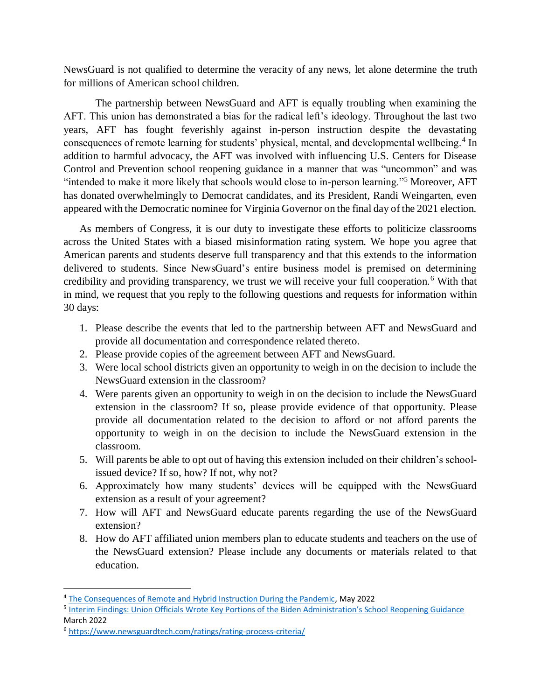NewsGuard is not qualified to determine the veracity of any news, let alone determine the truth for millions of American school children.

The partnership between NewsGuard and AFT is equally troubling when examining the AFT. This union has demonstrated a bias for the radical left's ideology. Throughout the last two years, AFT has fought feverishly against in-person instruction despite the devastating consequences of remote learning for students' physical, mental, and developmental wellbeing.<sup>4</sup> In addition to harmful advocacy, the AFT was involved with influencing U.S. Centers for Disease Control and Prevention school reopening guidance in a manner that was "uncommon" and was "intended to make it more likely that schools would close to in-person learning."<sup>5</sup> Moreover, AFT has donated overwhelmingly to Democrat candidates, and its President, Randi Weingarten, even appeared with the Democratic nominee for Virginia Governor on the final day of the 2021 election.

As members of Congress, it is our duty to investigate these efforts to politicize classrooms across the United States with a biased misinformation rating system. We hope you agree that American parents and students deserve full transparency and that this extends to the information delivered to students. Since NewsGuard's entire business model is premised on determining credibility and providing transparency, we trust we will receive your full cooperation.<sup>6</sup> With that in mind, we request that you reply to the following questions and requests for information within 30 days:

- 1. Please describe the events that led to the partnership between AFT and NewsGuard and provide all documentation and correspondence related thereto.
- 2. Please provide copies of the agreement between AFT and NewsGuard.
- 3. Were local school districts given an opportunity to weigh in on the decision to include the NewsGuard extension in the classroom?
- 4. Were parents given an opportunity to weigh in on the decision to include the NewsGuard extension in the classroom? If so, please provide evidence of that opportunity. Please provide all documentation related to the decision to afford or not afford parents the opportunity to weigh in on the decision to include the NewsGuard extension in the classroom.
- 5. Will parents be able to opt out of having this extension included on their children's schoolissued device? If so, how? If not, why not?
- 6. Approximately how many students' devices will be equipped with the NewsGuard extension as a result of your agreement?
- 7. How will AFT and NewsGuard educate parents regarding the use of the NewsGuard extension?
- 8. How do AFT affiliated union members plan to educate students and teachers on the use of the NewsGuard extension? Please include any documents or materials related to that education.

<sup>5</sup> [Interim Findings: Union Officials Wrote Key Portions of the Biden Administration's School Reopening Guidance](https://republicans-oversight.house.gov/report/interim-findings-union-officials-wrote-key-portions-of-the-biden-administrations-school-reopening-guidance/) March 2022

 $\overline{a}$ 

<sup>&</sup>lt;sup>4</sup> [The Consequences of Remote and Hybrid Instruction During the Pandemic,](https://cepr.harvard.edu/files/cepr/files/5-4.pdf?m=1651690491) May 2022

<sup>6</sup> <https://www.newsguardtech.com/ratings/rating-process-criteria/>